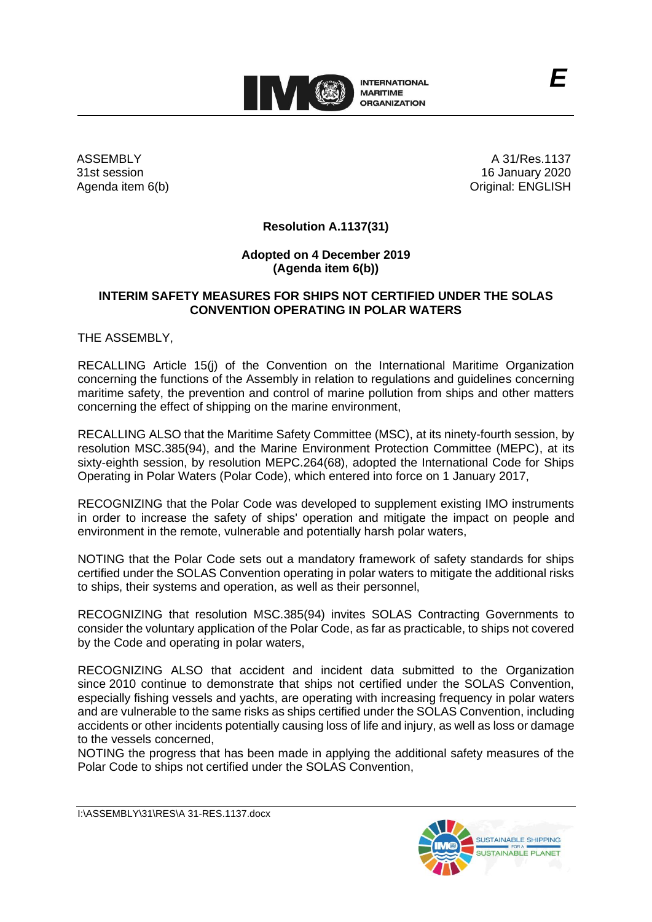

ASSEMBLY 31st session Agenda item 6(b)

A 31/Res.1137 16 January 2020 Original: ENGLISH

## **Resolution A.1137(31)**

## **Adopted on 4 December 2019 (Agenda item 6(b))**

## **INTERIM SAFETY MEASURES FOR SHIPS NOT CERTIFIED UNDER THE SOLAS CONVENTION OPERATING IN POLAR WATERS**

THE ASSEMBLY,

RECALLING Article 15(j) of the Convention on the International Maritime Organization concerning the functions of the Assembly in relation to regulations and guidelines concerning maritime safety, the prevention and control of marine pollution from ships and other matters concerning the effect of shipping on the marine environment,

RECALLING ALSO that the Maritime Safety Committee (MSC), at its ninety-fourth session, by resolution MSC.385(94), and the Marine Environment Protection Committee (MEPC), at its sixty-eighth session, by resolution MEPC.264(68), adopted the International Code for Ships Operating in Polar Waters (Polar Code), which entered into force on 1 January 2017,

RECOGNIZING that the Polar Code was developed to supplement existing IMO instruments in order to increase the safety of ships' operation and mitigate the impact on people and environment in the remote, vulnerable and potentially harsh polar waters,

NOTING that the Polar Code sets out a mandatory framework of safety standards for ships certified under the SOLAS Convention operating in polar waters to mitigate the additional risks to ships, their systems and operation, as well as their personnel,

RECOGNIZING that resolution MSC.385(94) invites SOLAS Contracting Governments to consider the voluntary application of the Polar Code, as far as practicable, to ships not covered by the Code and operating in polar waters,

RECOGNIZING ALSO that accident and incident data submitted to the Organization since 2010 continue to demonstrate that ships not certified under the SOLAS Convention, especially fishing vessels and yachts, are operating with increasing frequency in polar waters and are vulnerable to the same risks as ships certified under the SOLAS Convention, including accidents or other incidents potentially causing loss of life and injury, as well as loss or damage to the vessels concerned,

NOTING the progress that has been made in applying the additional safety measures of the Polar Code to ships not certified under the SOLAS Convention,